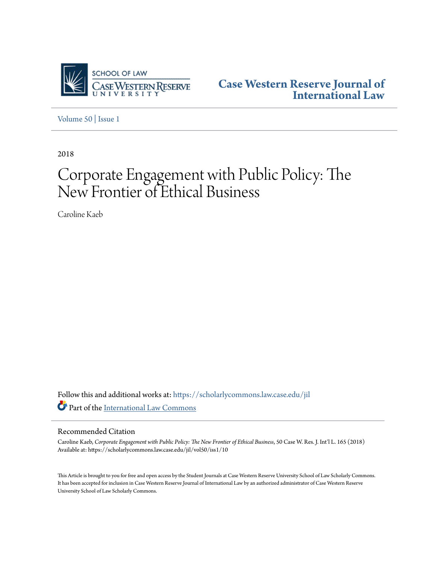

**[Case Western Reserve Journal of](https://scholarlycommons.law.case.edu/jil?utm_source=scholarlycommons.law.case.edu%2Fjil%2Fvol50%2Fiss1%2F10&utm_medium=PDF&utm_campaign=PDFCoverPages) [International Law](https://scholarlycommons.law.case.edu/jil?utm_source=scholarlycommons.law.case.edu%2Fjil%2Fvol50%2Fiss1%2F10&utm_medium=PDF&utm_campaign=PDFCoverPages)**

[Volume 50](https://scholarlycommons.law.case.edu/jil/vol50?utm_source=scholarlycommons.law.case.edu%2Fjil%2Fvol50%2Fiss1%2F10&utm_medium=PDF&utm_campaign=PDFCoverPages) | [Issue 1](https://scholarlycommons.law.case.edu/jil/vol50/iss1?utm_source=scholarlycommons.law.case.edu%2Fjil%2Fvol50%2Fiss1%2F10&utm_medium=PDF&utm_campaign=PDFCoverPages)

2018

# Corporate Engagement with Public Policy: The New Frontier of Ethical Business

Caroline Kaeb

Follow this and additional works at: [https://scholarlycommons.law.case.edu/jil](https://scholarlycommons.law.case.edu/jil?utm_source=scholarlycommons.law.case.edu%2Fjil%2Fvol50%2Fiss1%2F10&utm_medium=PDF&utm_campaign=PDFCoverPages) Part of the [International Law Commons](http://network.bepress.com/hgg/discipline/609?utm_source=scholarlycommons.law.case.edu%2Fjil%2Fvol50%2Fiss1%2F10&utm_medium=PDF&utm_campaign=PDFCoverPages)

#### Recommended Citation

Caroline Kaeb, *Corporate Engagement with Public Policy: The New Frontier of Ethical Business*, 50 Case W. Res. J. Int'l L. 165 (2018) Available at: https://scholarlycommons.law.case.edu/jil/vol50/iss1/10

This Article is brought to you for free and open access by the Student Journals at Case Western Reserve University School of Law Scholarly Commons. It has been accepted for inclusion in Case Western Reserve Journal of International Law by an authorized administrator of Case Western Reserve University School of Law Scholarly Commons.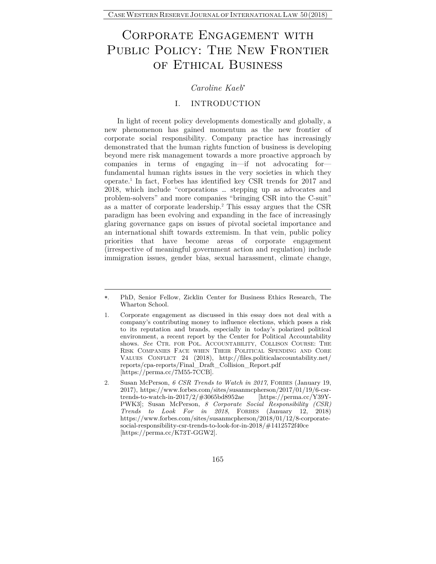## Corporate Engagement with PUBLIC POLICY: THE NEW FRONTIER of Ethical Business

### *Caroline Kaeb*

#### I. INTRODUCTION

In light of recent policy developments domestically and globally, a new phenomenon has gained momentum as the new frontier of corporate social responsibility. Company practice has increasingly demonstrated that the human rights function of business is developing beyond mere risk management towards a more proactive approach by companies in terms of engaging in—if not advocating for fundamental human rights issues in the very societies in which they operate.1 In fact, Forbes has identified key CSR trends for 2017 and 2018, which include "corporations … stepping up as advocates and problem-solvers" and more companies "bringing CSR into the C-suit" as a matter of corporate leadership.2 This essay argues that the CSR paradigm has been evolving and expanding in the face of increasingly glaring governance gaps on issues of pivotal societal importance and an international shift towards extremism. In that vein, public policy priorities that have become areas of corporate engagement (irrespective of meaningful government action and regulation) include immigration issues, gender bias, sexual harassment, climate change,

<sup>.</sup> PhD, Senior Fellow, Zicklin Center for Business Ethics Research, The Wharton School.

<sup>1.</sup> Corporate engagement as discussed in this essay does not deal with a company's contributing money to influence elections, which poses a risk to its reputation and brands, especially in today's polarized political environment, a recent report by the Center for Political Accountability shows. *See* CTR. FOR POL. ACCOUNTABILITY, COLLISON COURSE: THE RISK COMPANIES FACE WHEN THEIR POLITICAL SPENDING AND CORE VALUES CONFLICT 24 (2018), http://files.politicalaccountability.net/ reports/cpa-reports/Final\_Draft\_Collision\_Report.pdf [https://perma.cc/7M55-7CCB].

<sup>2.</sup> Susan McPerson, *6 CSR Trends to Watch in 2017*, FORBES (January 19, 2017), https://www.forbes.com/sites/susanmcpherson/2017/01/19/6-csrtrends-to-watch-in-2017/2/#3065bd8952ae [https://perma.cc/Y39Y-PWK3]; Susan McPerson, *8 Corporate Social Responsibility (CSR) Trends to Look For in 2018*, FORBES (January 12, 2018) https://www.forbes.com/sites/susanmcpherson/2018/01/12/8-corporatesocial-responsibility-csr-trends-to-look-for-in-2018/#1412572f40ce [https://perma.cc/K73T-GGW2].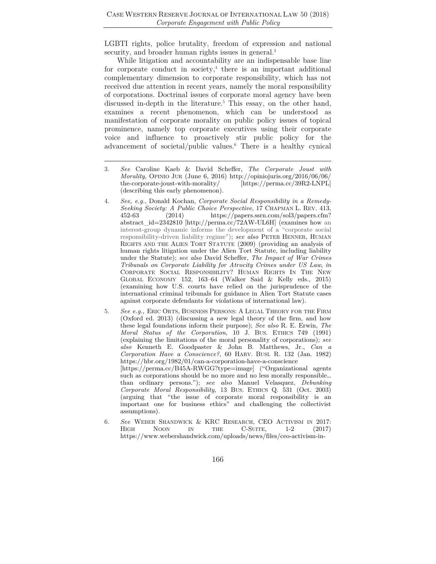LGBTI rights, police brutality, freedom of expression and national security, and broader human rights issues in general.<sup>3</sup>

While litigation and accountability are an indispensable base line for corporate conduct in society, $4$  there is an important additional complementary dimension to corporate responsibility, which has not received due attention in recent years, namely the moral responsibility of corporations. Doctrinal issues of corporate moral agency have been discussed in-depth in the literature.<sup>5</sup> This essay, on the other hand, examines a recent phenomenon, which can be understood as manifestation of corporate morality on public policy issues of topical prominence, namely top corporate executives using their corporate voice and influence to proactively stir public policy for the advancement of societal/public values.6 There is a healthy cynical

- 3*. See* Caroline Kaeb & David Scheffer, *The Corporate Joust with Morality*, OPINIO JUR (June 6, 2016) http://opiniojuris.org/2016/06/06/ the-corporate-joust-with-morality/ (describing this early phenomenon).
- 4*. See, e.g.*, Donald Kochan, *Corporate Social Responsibility in a Remedy-Seeking Society: A Public Choice Perspective*, 17 CHAPMAN L. REV. 413, 452-63 (2014) https://papers.ssrn.com/sol3/papers.cfm? abstract\_id=2342810 [http://perma.cc/72AW-UL6H] (examines how an interest-group dynamic informs the development of a "corporate social responsibility-driven liability regime"); *see also* PETER HENNER, HUMAN RIGHTS AND THE ALIEN TORT STATUTE (2009) (providing an analysis of human rights litigation under the Alien Tort Statute, including liability under the Statute); *see also* David Scheffer, *The Impact of War Crimes Tribunals on Corporate Liability for Atrocity Crimes under US Law*, *in* CORPORATE SOCIAL RESPONSIBILITY? HUMAN RIGHTS IN THE NEW GLOBAL ECONOMY 152, 163–64 (Walker Said & Kelly eds., 2015) (examining how U.S. courts have relied on the jurisprudence of the international criminal tribunals for guidance in Alien Tort Statute cases against corporate defendants for violations of international law).
- 5*. See e.g.,* ERIC ORTS, BUSINESS PERSONS: A LEGAL THEORY FOR THE FIRM (Oxford ed. 2013) (discussing a new legal theory of the firm, and how these legal foundations inform their purpose); *See also* R. E. Erwin, *The Moral Status of the Corporation*, 10 J. BUS. ETHICS 749 (1991) (explaining the limitations of the moral personality of corporations); *see also* Kenneth E. Goodpaster & John B. Matthews, Jr., *Can a Corporation Have a Conscience?*, 60 HARV. BUSI. R. 132 (Jan. 1982) https://hbr.org/1982/01/can-a-corporation-have-a-conscience [https://perma.cc/B45A-RWGG?type=image] ("Organizational agents such as corporations should be no more and no less morally responsible… than ordinary persons."); *see also* Manuel Velasquez, *Debunking Corporate Moral Responsibility*, 13 BUS. ETHICS Q. 531 (Oct. 2003) (arguing that "the issue of corporate moral responsibility is an important one for business ethics" and challenging the collectivist assumptions).
- 6*. See* WEBER SHANDWICK & KRC RESEARCH, CEO ACTIVISM IN 2017: HIGH NOON IN THE C-SUITE, 1-2 (2017) https://www.webershandwick.com/uploads/news/files/ceo-activism-in-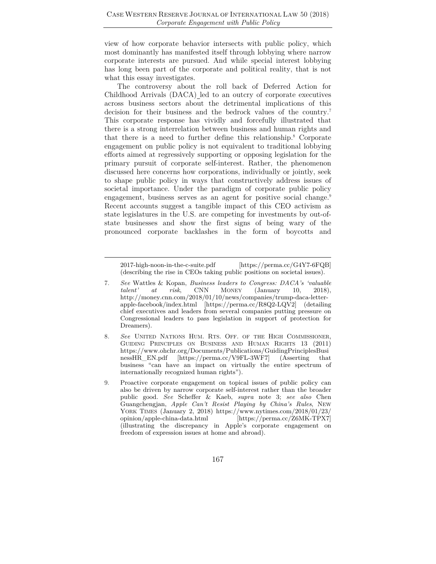view of how corporate behavior intersects with public policy, which most dominantly has manifested itself through lobbying where narrow corporate interests are pursued. And while special interest lobbying has long been part of the corporate and political reality, that is not what this essay investigates.

The controversy about the roll back of Deferred Action for Childhood Arrivals (DACA) led to an outcry of corporate executives across business sectors about the detrimental implications of this decision for their business and the bedrock values of the country.<sup>7</sup> This corporate response has vividly and forcefully illustrated that there is a strong interrelation between business and human rights and that there is a need to further define this relationship.8 Corporate engagement on public policy is not equivalent to traditional lobbying efforts aimed at regressively supporting or opposing legislation for the primary pursuit of corporate self-interest. Rather, the phenomenon discussed here concerns how corporations, individually or jointly, seek to shape public policy in ways that constructively address issues of societal importance. Under the paradigm of corporate public policy engagement, business serves as an agent for positive social change.<sup>9</sup> Recent accounts suggest a tangible impact of this CEO activism as state legislatures in the U.S. are competing for investments by out-ofstate businesses and show the first signs of being wary of the pronounced corporate backlashes in the form of boycotts and

2017-high-noon-in-the-c-suite.pdf [https://perma.cc/G4Y7-6FQB] (describing the rise in CEOs taking public positions on societal issues).

<sup>7</sup>*. See* Wattles & Kopan, *Business leaders to Congress: DACA's 'valuable talent' at risk*, CNN MONEY (January 10, 2018), http://money.cnn.com/2018/01/10/news/companies/trump-daca-letterapple-facebook/index.html [https://perma.cc/R8Q2-LQV2] (detailing chief executives and leaders from several companies putting pressure on Congressional leaders to pass legislation in support of protection for Dreamers).

<sup>8</sup>*. See* UNITED NATIONS HUM. RTS. OFF. OF THE HIGH COMMISSIONER, GUIDING PRINCIPLES ON BUSINESS AND HUMAN RIGHTS 13 (2011) https://www.ohchr.org/Documents/Publications/GuidingPrinciplesBusi nessHR\_EN.pdf [https://perma.cc/V9FL-3WF7] (Asserting that business "can have an impact on virtually the entire spectrum of internationally recognized human rights").

<sup>9.</sup> Proactive corporate engagement on topical issues of public policy can also be driven by narrow corporate self-interest rather than the broader public good. *See* Scheffer & Kaeb, *supra* note 3; *see also* Chen Guangchengjan, *Apple Can't Resist Playing by China's Rules*, NEW YORK TIMES (January 2, 2018) https://www.nytimes.com/2018/01/23/ opinion/apple-china-data.html [https://perma.cc/Z6MK-TPX7] (illustrating the discrepancy in Apple's corporate engagement on freedom of expression issues at home and abroad).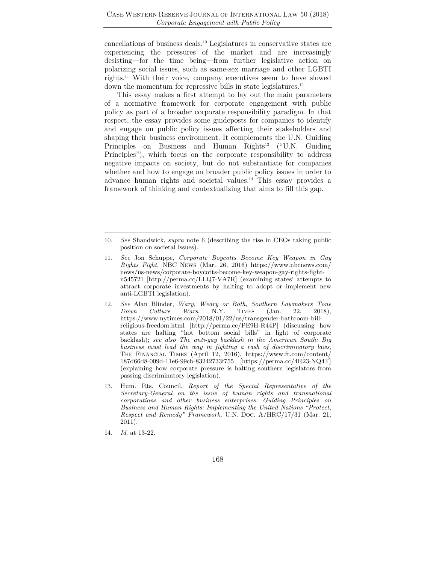cancellations of business deals.10 Legislatures in conservative states are experiencing the pressures of the market and are increasingly desisting—for the time being—from further legislative action on polarizing social issues, such as same-sex marriage and other LGBTI rights.11 With their voice, company executives seem to have slowed down the momentum for repressive bills in state legislatures.<sup>12</sup>

This essay makes a first attempt to lay out the main parameters of a normative framework for corporate engagement with public policy as part of a broader corporate responsibility paradigm. In that respect, the essay provides some guideposts for companies to identify and engage on public policy issues affecting their stakeholders and shaping their business environment. It complements the U.N. Guiding Principles on Business and Human Rights<sup>13</sup> ("U.N. Guiding") Principles"), which focus on the corporate responsibility to address negative impacts on society, but do not substantiate for companies whether and how to engage on broader public policy issues in order to advance human rights and societal values.14 This essay provides a framework of thinking and contextualizing that aims to fill this gap.

<sup>10</sup>*. See* Shandwick, *supra* note 6 (describing the rise in CEOs taking public position on societal issues).

<sup>11</sup>*. See* Jon Schuppe, *Corporate Boycotts Become Key Weapon in Gay Rights Fight,* NBC NEWS (Mar. 26, 2016) https://www.nbcnews.com/ news/us-news/corporate-boycotts-become-key-weapon-gay-rights-fightn545721 [http://perma.cc/LLQ7-VA7R] (examining states' attempts to attract corporate investments by halting to adopt or implement new anti-LGBTI legislation).

<sup>12</sup>*. See* Alan Blinder, *Wary, Weary or Both, Southern Lawmakers Tone Down Culture Wars*, N.Y. TIMES (Jan. 22, 2018), https://www.nytimes.com/2018/01/22/us/transgender-bathroom-billreligious-freedom.html [http://perma.cc/PE9H-R44P] (discussing how states are halting "hot bottom social bills" in light of corporate backlash); *see also The anti-gay backlash in the American South: Big business must lead the way in fighting a rash of discriminatory laws*, THE FINANCIAL TIMES (April 12, 2016), https://www.ft.com/content/ 187d66d8-009d-11e6-99cb-83242733f755 [https://perma.cc/4R23-NQ4T] (explaining how corporate pressure is halting southern legislators from passing discriminatory legislation).

<sup>13.</sup> Hum. Rts. Council, *Report of the Special Representative of the Secretary-General on the issue of human rights and transnational corporations and other business enterprises: Guiding Principles on Business and Human Rights: Implementing the United Nations "Protect, Respect and Remedy" Framework,* U.N. DOC. A/HRC/17/31 (Mar. 21, 2011).

<sup>14</sup>*. Id*. at 13-22.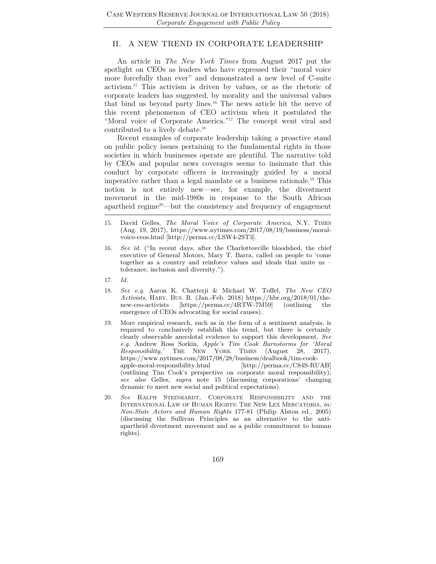#### II. A NEW TREND IN CORPORATE LEADERSHIP

An article in *The New York Times* from August 2017 put the spotlight on CEOs as leaders who have expressed their "moral voice more forcefully than ever" and demonstrated a new level of C-suite activism.15 This activism is driven by values, or as the rhetoric of corporate leaders has suggested, by morality and the universal values that bind us beyond party lines.16 The news article hit the nerve of this recent phenomenon of CEO activism when it postulated the "Moral voice of Corporate America."<sup>17</sup> The concept went viral and contributed to a lively debate.18

Recent examples of corporate leadership taking a proactive stand on public policy issues pertaining to the fundamental rights in those societies in which businesses operate are plentiful. The narrative told by CEOs and popular news coverages seems to insinuate that this conduct by corporate officers is increasingly guided by a moral imperative rather than a legal mandate or a business rationale.19 This notion is not entirely new—see, for example, the divestment movement in the mid-1980s in response to the South African apartheid regime<sup>20</sup>—but the consistency and frequency of engagement

- 15. David Gelles, *The Moral Voice of Corporate America*, N.Y. TIMES (Aug. 19, 2017), https://www.nytimes.com/2017/08/19/business/moralvoice-ceos.html [http://perma.cc/LSW4-2ST3].
- 16*. See id.* ("In recent days, after the Charlottesville bloodshed, the chief executive of General Motors, Mary T. Barra, called on people to 'come together as a country and reinforce values and ideals that unite us – tolerance, inclusion and diversity.").
- 17*. Id.*
- 18*. See e.g.* Aaron K. Chatterji & Michael W. Toffel, *The New CEO Activists*, HARV. BUS. R. (Jan.-Feb. 2018) https://hbr.org/2018/01/thenew-ceo-activists [https://perma.cc/4RTW-7M59] (outlining the emergence of CEOs advocating for social causes).
- 19. More empirical research, such as in the form of a sentiment analysis, is required to conclusively establish this trend, but there is certainly clearly observable anecdotal evidence to support this development. *See e.g.* Andrew Ross Sorkin, *Apple's Tim Cook Barnstorms for 'Moral Responsibility,'* THE NEW YORK TIMES (August 28, 2017), https://www.nytimes.com/2017/08/28/business/dealbook/tim-cookapple-moral-responsibility.html [http://perma.cc/C84S-RUAB] (outlining Tim Cook's perspective on corporate moral responsibility); *see also* Gelles, *supra* note 15 (discussing corporations' changing dynamic to meet new social and political expectations).
- 20*. See* RALPH STEINHARDT, CORPORATE RESPONSIBILITY AND THE INTERNATIONAL LAW OF HUMAN RIGHTS: THE NEW LEX MERCATORIA, *in: Non-State Actors and Human Rights* 177-81 (Philip Alston ed., 2005) (discussing the Sullivan Principles as an alternative to the antiapartheid divestment movement and as a public commitment to human rights).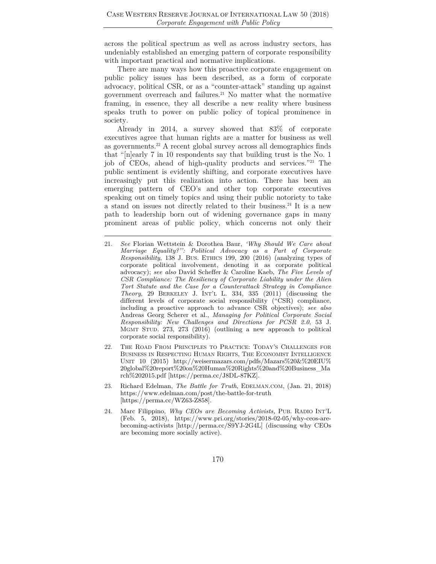across the political spectrum as well as across industry sectors, has undeniably established an emerging pattern of corporate responsibility with important practical and normative implications.

There are many ways how this proactive corporate engagement on public policy issues has been described, as a form of corporate advocacy, political CSR, or as a "counter-attack" standing up against government overreach and failures.21 No matter what the normative framing, in essence, they all describe a new reality where business speaks truth to power on public policy of topical prominence in society.

Already in 2014, a survey showed that 83% of corporate executives agree that human rights are a matter for business as well as governments.22 A recent global survey across all demographics finds that "[n]early 7 in 10 respondents say that building trust is the No. 1 job of CEOs, ahead of high-quality products and services."23 The public sentiment is evidently shifting, and corporate executives have increasingly put this realization into action. There has been an emerging pattern of CEO's and other top corporate executives speaking out on timely topics and using their public notoriety to take a stand on issues not directly related to their business.<sup>24</sup> It is a new path to leadership born out of widening governance gaps in many prominent areas of public policy, which concerns not only their

- 21*. See* Florian Wettstein & Dorothea Baur, *'Why Should We Care about Marriage Equality?'': Political Advocacy as a Part of Corporate Responsibility*, 138 J. BUS. ETHICS 199, 200 (2016) (analyzing types of corporate political involvement, denoting it as corporate political advocacy); *see also* David Scheffer & Caroline Kaeb, *The Five Levels of CSR Compliance: The Resiliency of Corporate Liability under the Alien Tort Statute and the Case for a Counterattack Strategy in Compliance Theory*, 29 BERKELEY J. INT'L L. 334, 335 (2011) (discussing the different levels of corporate social responsibility ("CSR) compliance, including a proactive approach to advance CSR objectives); *see also*  Andreas Georg Scherer et al., *Managing for Political Corporate Social Responsibility: New Challenges and Directions for PCSR 2.0*, 53 J. MGMT STUD. 273, 273 (2016) (outlining a new approach to political corporate social responsibility).
- 22. THE ROAD FROM PRINCIPLES TO PRACTICE: TODAY'S CHALLENGES FOR BUSINESS IN RESPECTING HUMAN RIGHTS, THE ECONOMIST INTELLIGENCE UNIT 10 (2015) http://weisermazars.com/pdfs/Mazars%20&%20EIU% 20global%20report%20on%20Human%20Rights%20and%20Business\_Ma rch%202015.pdf [https://perma.cc/J8DL-87KZ].
- 23. Richard Edelman, *The Battle for Truth*, EDELMAN.COM, (Jan. 21, 2018) https://www.edelman.com/post/the-battle-for-truth [https://perma.cc/WZ63-Z858].
- 24. Marc Filippino, *Why CEOs are Becoming Activists,* PUB. RADIO INT'L (Feb. 5, 2018), https://www.pri.org/stories/2018-02-05/why-ceos-arebecoming-activists [http://perma.cc/S9YJ-2G4L] (discussing why CEOs are becoming more socially active).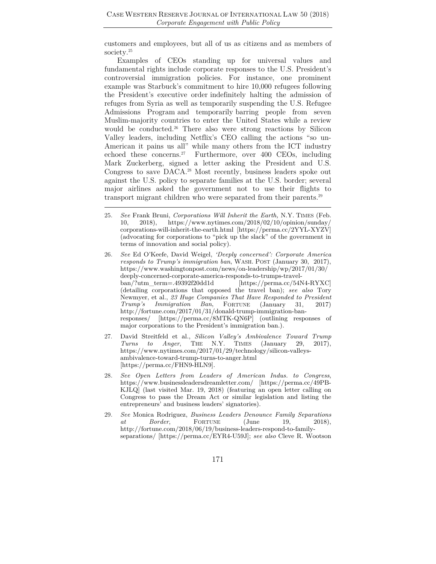customers and employees, but all of us as citizens and as members of society.25

Examples of CEOs standing up for universal values and fundamental rights include corporate responses to the U.S. President's controversial immigration policies. For instance, one prominent example was Starbuck's commitment to hire 10,000 refugees following the President's executive order indefinitely halting the admission of refuges from Syria as well as temporarily suspending the U.S. Refugee Admissions Program and temporarily barring people from seven Muslim-majority countries to enter the United States while a review would be conducted.<sup>26</sup> There also were strong reactions by Silicon Valley leaders, including Netflix's CEO calling the actions "so un-American it pains us all" while many others from the ICT industry echoed these concerns.<sup>27</sup> Furthermore, over 400 CEOs, including Mark Zuckerberg, signed a letter asking the President and U.S. Congress to save DACA.28 Most recently, business leaders spoke out against the U.S. policy to separate families at the U.S. border; several major airlines asked the government not to use their flights to transport migrant children who were separated from their parents.<sup>29</sup>

- 25*. See* Frank Bruni, *Corporations Will Inherit the Earth,* N.Y. TIMES (Feb. 10, 2018), https://www.nytimes.com/2018/02/10/opinion/sunday/ corporations-will-inherit-the-earth.html [https://perma.cc/2YYL-XYZV] (advocating for corporations to "pick up the slack" of the government in terms of innovation and social policy).
- 26*. See* Ed O'Keefe, David Weigel, *'Deeply concerned': Corporate America responds to Trump's immigration ban*, WASH. POST (January 30, 2017), https://www.washingtonpost.com/news/on-leadership/wp/2017/01/30/ deeply-concerned-corporate-america-responds-to-trumps-travelban/?utm\_term=.49392f20dd1d [https://perma.cc/54N4-RYXC] (detailing corporations that opposed the travel ban); *see also* Tory Newmyer, et al., *23 Huge Companies That Have Responded to President Trump's Immigration Ban*, FORTUNE (January 31, 2017) http://fortune.com/2017/01/31/donald-trump-immigration-banresponses/ [https://perma.cc/8MTK-QN6P] (outlining responses of major corporations to the President's immigration ban.).
- 27. David Streitfeld et al., *Silicon Valley's Ambivalence Toward Trump Turns to Anger*, THE N.Y. TIMES (January 29, 2017), https://www.nytimes.com/2017/01/29/technology/silicon-valleysambivalence-toward-trump-turns-to-anger.html [https://perma.cc/FHN9-HLN9].
- 28*. See Open Letters from Leaders of American Indus. to Congress*, https://www.businessleadersdreamletter.com/ [https://perma.cc/49PB-KJLQ] (last visited Mar. 19, 2018) (featuring an open letter calling on Congress to pass the Dream Act or similar legislation and listing the entrepreneurs' and business leaders' signatories).
- 29*. See* Monica Rodriguez, *Business Leaders Denounce Family Separations at Border*, FORTUNE (June 19, 2018), http://fortune.com/2018/06/19/business-leaders-respond-to-familyseparations/ [https://perma.cc/EYR4-U59J]; *see also* Cleve R. Wootson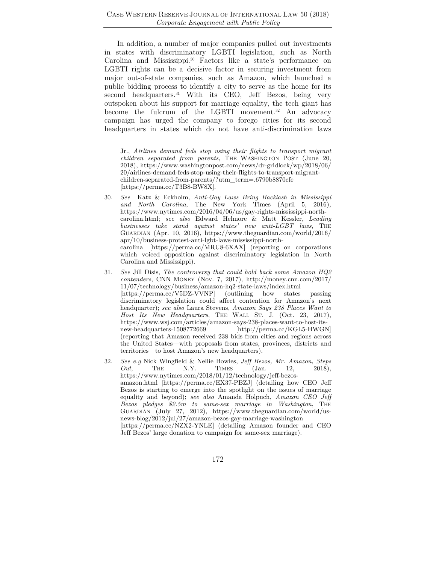In addition, a number of major companies pulled out investments in states with discriminatory LGBTI legislation, such as North Carolina and Mississippi.30 Factors like a state's performance on LGBTI rights can be a decisive factor in securing investment from major out-of-state companies, such as Amazon, which launched a public bidding process to identify a city to serve as the home for its second headquarters.<sup>31</sup> With its CEO, Jeff Bezos, being very outspoken about his support for marriage equality, the tech giant has become the fulcrum of the LGBTI movement.<sup>32</sup> An advocacy campaign has urged the company to forego cities for its second headquarters in states which do not have anti-discrimination laws

Jr., *Airlines demand feds stop using their flights to transport migrant children separated from parents*, THE WASHINGTON POST (June 20, 2018), https://www.washingtonpost.com/news/dr-gridlock/wp/2018/06/ 20/airlines-demand-feds-stop-using-their-flights-to-transport-migrantchildren-separated-from-parents/?utm\_term=.6790b8870cfe [https://perma.cc/T3B8-BW8X].

- 30*. See* Katz & Eckholm, *Anti-Gay Laws Bring Backlash in Mississippi and North Carolina*, The New York Times (April 5, 2016)*,*  https://www.nytimes.com/2016/04/06/us/gay-rights-mississippi-northcarolina.html; *see also* Edward Helmore & Matt Kessler, *Leading businesses take stand against states' new anti-LGBT laws*, THE GUARDIAN (Apr. 10, 2016), https://www.theguardian.com/world/2016/ apr/10/business-protest-anti-lgbt-laws-mississippi-northcarolina [https://perma.cc/MRU8-6XAX] (reporting on corporations which voiced opposition against discriminatory legislation in North Carolina and Mississippi).
- 31*. See* Jill Disis, *The controversy that could hold back some Amazon HQ2 contenders*, CNN MONEY (Nov. 7, 2017), http://money.cnn.com/2017/ 11/07/technology/business/amazon-hq2-state-laws/index.html [https://perma.cc/V5DZ-VVNP] (outlining how states passing discriminatory legislation could affect contention for Amazon's next headquarter); *see also* Laura Stevens, *Amazon Says 238 Places Want to Host Its New Headquarters*, THE WALL ST. J. (Oct. 23, 2017), https://www.wsj.com/articles/amazon-says-238-places-want-to-host-itsnew-headquarters-1508772669 [http://perma.cc/KGL5-HWGN] (reporting that Amazon received 238 bids from cities and regions across the United States—with proposals from states, provinces, districts and territories—to host Amazon's new headquarters).
- 32*. See e.g* Nick Wingfield & Nellie Bowles, *Jeff Bezos, Mr. Amazon, Steps Out*, THE N.Y. TIMES (Jan. 12, 2018), https://www.nytimes.com/2018/01/12/technology/jeff-bezosamazon.html [https://perma.cc/EX37-PBZJ] (detailing how CEO Jeff Bezos is starting to emerge into the spotlight on the issues of marriage equality and beyond); *see also* Amanda Holpuch, *Amazon CEO Jeff Bezos pledges \$2.5m to same-sex marriage in Washington*, THE GUARDIAN (July 27, 2012), https://www.theguardian.com/world/usnews-blog/2012/jul/27/amazon-bezos-gay-marriage-washington [https://perma.cc/NZX2-YNLE] (detailing Amazon founder and CEO Jeff Bezos' large donation to campaign for same-sex marriage).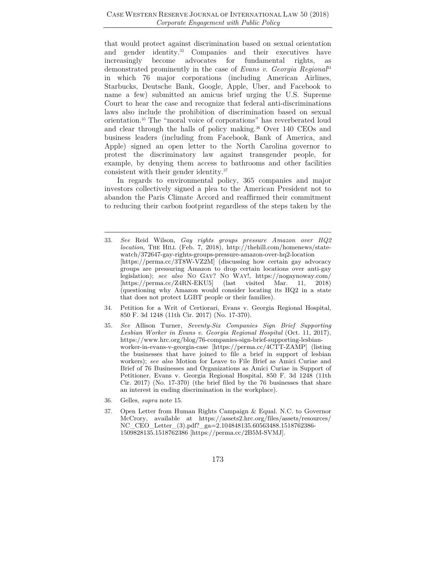that would protect against discrimination based on sexual orientation and gender identity.<sup>33</sup> Companies and their executives have increasingly become advocates for fundamental rights, as demonstrated prominently in the case of *Evans v. Georgia Regional*<sup>34</sup> in which 76 major corporations (including American Airlines, Starbucks, Deutsche Bank, Google, Apple, Uber, and Facebook to name a few) submitted an amicus brief urging the U.S. Supreme Court to hear the case and recognize that federal anti-discriminations laws also include the prohibition of discrimination based on sexual orientation.35 The "moral voice of corporations" has reverberated loud and clear through the halls of policy making.36 Over 140 CEOs and business leaders (including from Facebook, Bank of America, and Apple) signed an open letter to the North Carolina governor to protest the discriminatory law against transgender people, for example, by denying them access to bathrooms and other facilities consistent with their gender identity.37

In regards to environmental policy, 365 companies and major investors collectively signed a plea to the American President not to abandon the Paris Climate Accord and reaffirmed their commitment to reducing their carbon footprint regardless of the steps taken by the

- 34. Petition for a Writ of Certiorari, Evans v. Georgia Regional Hospital, 850 F. 3d 1248 (11th Cir. 2017) (No. 17-370).
- 35*. See* Allison Turner, *Seventy-Six Companies Sign Brief Supporting Lesbian Worker in Evans v. Georgia Regional Hospital* (Oct. 11, 2017), https://www.hrc.org/blog/76-companies-sign-brief-supporting-lesbianworker-in-evans-v-georgia-case [https://perma.cc/4CTT-ZAMP] (listing the businesses that have joined to file a brief in support of lesbian workers); *see also* Motion for Leave to File Brief as Amici Curiae and Brief of 76 Businesses and Organizations as Amici Curiae in Support of Petitioner, Evans v. Georgia Regional Hospital, 850 F. 3d 1248 (11th Cir. 2017) (No. 17-370) (the brief filed by the 76 businesses that share an interest in ending discrimination in the workplace).
- 36. Gelles, *supra* note 15.
- 37. Open Letter from Human Rights Campaign & Equal. N.C. to Governor McCrory, available at https://assets2.hrc.org/files/assets/resources/ NC\_CEO\_Letter\_(3).pdf?\_ga=2.104848135.60563488.1518762386- 1509828135.1518762386 [https://perma.cc/2B5M-SVMJ].

<sup>33</sup>*. See* Reid Wilson, *Gay rights groups pressure Amazon over HQ2 location*, THE HILL (Feb. 7, 2018), http://thehill.com/homenews/statewatch/372647-gay-rights-groups-pressure-amazon-over-hq2-location [https://perma.cc/3T8W-VZ2M] (discussing how certain gay advocacy groups are pressuring Amazon to drop certain locations over anti-gay legislation); *see also* NO GAY? NO WAY!, https://nogaynoway.com/ [https://perma.cc/Z4RN-EKU5] (last visited Mar. 11, 2018) (questioning why Amazon would consider locating its HQ2 in a state that does not protect LGBT people or their families).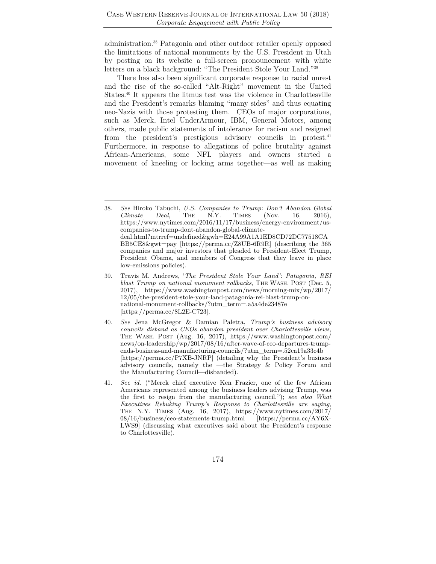administration.38 Patagonia and other outdoor retailer openly opposed the limitations of national monuments by the U.S. President in Utah by posting on its website a full-screen pronouncement with white letters on a black background: "The President Stole Your Land."39

There has also been significant corporate response to racial unrest and the rise of the so-called "Alt-Right" movement in the United States.40 It appears the litmus test was the violence in Charlottesville and the President's remarks blaming "many sides" and thus equating neo-Nazis with those protesting them. CEOs of major corporations, such as Merck, Intel UnderArmour, IBM, General Motors, among others, made public statements of intolerance for racism and resigned from the president's prestigious advisory councils in protest.<sup>41</sup> Furthermore, in response to allegations of police brutality against African-Americans, some NFL players and owners started a movement of kneeling or locking arms together—as well as making

- 40*. See* Jena McGregor & Damian Paletta, *Trump's business advisory councils disband as CEOs abandon president over Charlottesville views*, THE WASH. POST (Aug. 16, 2017), https://www.washingtonpost.com/ news/on-leadership/wp/2017/08/16/after-wave-of-ceo-departures-trumpends-business-and-manufacturing-councils/?utm\_term=.52ca19a33c4b [https://perma.cc/P7XB-JNRP] (detailing why the President's business advisory councils, namely the —the Strategy & Policy Forum and the Manufacturing Council—disbanded).
- 41*. See id.* ("Merck chief executive Ken Frazier, one of the few African Americans represented among the business leaders advising Trump, was the first to resign from the manufacturing council."); *see also What Executives Rebuking Trump's Response to Charlottesville are saying*, THE N.Y. TIMES (Aug. 16, 2017), https://www.nytimes.com/2017/ 08/16/business/ceo-statements-trump.html [https://perma.cc/AY6X-LWS9] (discussing what executives said about the President's response to Charlottesville).

<sup>38</sup>*. See* Hiroko Tabuchi, *U.S. Companies to Trump: Don't Abandon Global Climate Deal*, THE N.Y. TIMES (Nov. 16, 2016), https://www.nytimes.com/2016/11/17/business/energy-environment/uscompanies-to-trump-dont-abandon-global-climatedeal.html?mtrref=undefined&gwh=E24A99A1A1ED8CD72DC77518CA BB5CE8&gwt=pay [https://perma.cc/Z8UB-6R9R] (describing the 365 companies and major investors that pleaded to President-Elect Trump, President Obama, and members of Congress that they leave in place low-emissions policies).

<sup>39.</sup> Travis M. Andrews, '*The President Stole Your Land': Patagonia, REI blast Trump on national monument rollbacks*, THE WASH. POST (Dec. 5, 2017), https://www.washingtonpost.com/news/morning-mix/wp/2017/ 12/05/the-president-stole-your-land-patagonia-rei-blast-trump-onnational-monument-rollbacks/?utm\_term=.a5a4de23487e [https://perma.cc/8L2E-C723].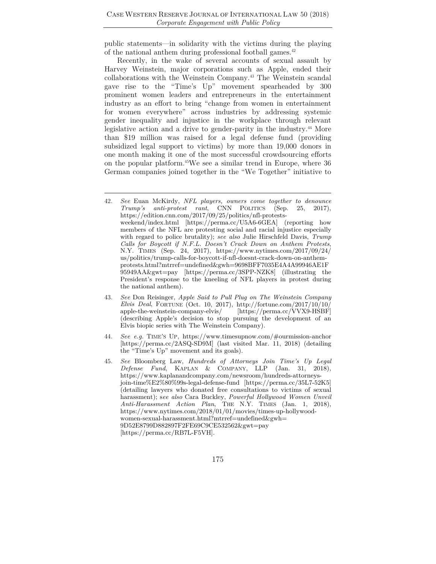public statements—in solidarity with the victims during the playing of the national anthem during professional football games.<sup>42</sup>

Recently, in the wake of several accounts of sexual assault by Harvey Weinstein, major corporations such as Apple, ended their collaborations with the Weinstein Company.43 The Weinstein scandal gave rise to the "Time's Up" movement spearheaded by 300 prominent women leaders and entrepreneurs in the entertainment industry as an effort to bring "change from women in entertainment for women everywhere" across industries by addressing systemic gender inequality and injustice in the workplace through relevant legislative action and a drive to gender-parity in the industry.44 More than \$19 million was raised for a legal defense fund (providing subsidized legal support to victims) by more than 19,000 donors in one month making it one of the most successful crowdsourcing efforts on the popular platform.45We see a similar trend in Europe, where 36 German companies joined together in the "We Together" initiative to

- 43*. See* Don Reisinger, *Apple Said to Pull Plug on The Weinstein Company Elvis Deal*, FORTUNE (Oct. 10, 2017), http://fortune.com/2017/10/10/ apple-the-weinstein-company-elvis/ [https://perma.cc/VVX9-HSBF] (describing Apple's decision to stop pursuing the development of an Elvis biopic series with The Weinstein Company).
- 44*. See e.g.* TIME'S UP, https://www.timesupnow.com/#ourmission-anchor [https://perma.cc/2ASQ-SD9M] (last visited Mar. 11, 2018) (detailing the "Time's Up" movement and its goals).
- 45*. See* Bloomberg Law, *Hundreds of Attorneys Join Time's Up Legal Defense Fund*, KAPLAN & COMPANY, LLP (Jan. 31, 2018), https://www.kaplanandcompany.com/newsroom/hundreds-attorneysjoin-time%E2%80%99s-legal-defense-fund [https://perma.cc/35L7-52K5] (detailing lawyers who donated free consultations to victims of sexual harassment); s*ee also* Cara Buckley, *Powerful Hollywood Women Unveil Anti-Harassment Action Plan*, THE N.Y. TIMES (Jan. 1, 2018), https://www.nytimes.com/2018/01/01/movies/times-up-hollywoodwomen-sexual-harassment.html?mtrref=undefined&gwh= 9D52E8799D882897F2FE69C9CE532562&gwt=pay [https://perma.cc/RB7L-F5VH].

<sup>42</sup>*. See* Euan McKirdy, *NFL players, owners come together to denounce Trump's anti-protest rant*, CNN POLITICS (Sep. 25, 2017), https://edition.cnn.com/2017/09/25/politics/nfl-protestsweekend/index.html [https://perma.cc/U5A6-6GEA] (reporting how members of the NFL are protesting social and racial injustice especially with regard to police brutality); *see also* Julie Hirschfeld Davis, *Trump Calls for Boycott if N.F.L. Doesn't Crack Down on Anthem Protests*, N.Y. TIMES (Sep. 24, 2017), https://www.nytimes.com/2017/09/24/ us/politics/trump-calls-for-boycott-if-nfl-doesnt-crack-down-on-anthemprotests.html?mtrref=undefined&gwh=9698BFF7035E4A4A99946AE1F 95949AA&gwt=pay [https://perma.cc/3SPP-NZK8] (illustrating the President's response to the kneeling of NFL players in protest during the national anthem).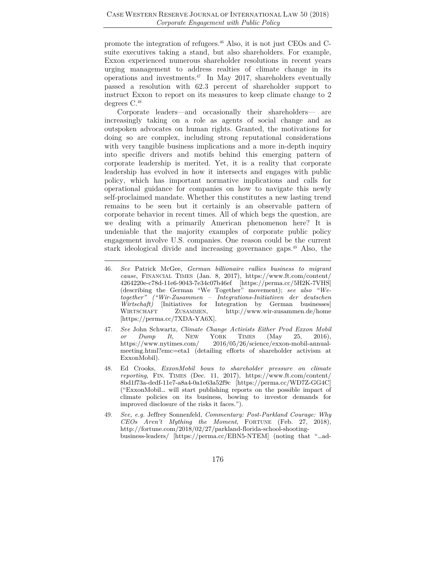promote the integration of refugees.46 Also, it is not just CEOs and Csuite executives taking a stand, but also shareholders. For example, Exxon experienced numerous shareholder resolutions in recent years urging management to address realties of climate change in its operations and investments.47 In May 2017, shareholders eventually passed a resolution with 62.3 percent of shareholder support to instruct Exxon to report on its measures to keep climate change to 2 degrees C.48

Corporate leaders—and occasionally their shareholders— are increasingly taking on a role as agents of social change and as outspoken advocates on human rights. Granted, the motivations for doing so are complex, including strong reputational considerations with very tangible business implications and a more in-depth inquiry into specific drivers and motifs behind this emerging pattern of corporate leadership is merited. Yet, it is a reality that corporate leadership has evolved in how it intersects and engages with public policy, which has important normative implications and calls for operational guidance for companies on how to navigate this newly self-proclaimed mandate. Whether this constitutes a new lasting trend remains to be seen but it certainly is an observable pattern of corporate behavior in recent times. All of which begs the question, are we dealing with a primarily American phenomenon here? It is undeniable that the majority examples of corporate public policy engagement involve U.S. companies. One reason could be the current stark ideological divide and increasing governance gaps.49 Also, the

- 47*. See* John Schwartz, *Climate Change Activists Either Prod Exxon Mobil or Dump It*, NEW YORK TIMES (May 25, 2016), https://www.nytimes.com/ 2016/05/26/science/exxon-mobil-annualmeeting.html?emc=eta1 (detailing efforts of shareholder activism at ExxonMobil).
- 48. Ed Crooks, *ExxonMobil bows to shareholder pressure on climate reporting*, FIN. TIMES (Dec. 11, 2017), https://www.ft.com/content/ 8bd1f73a-dedf-11e7-a8a4-0a1e63a52f9c [https://perma.cc/WD7Z-GG4C] ("ExxonMobil… will start publishing reports on the possible impact of climate policies on its business, bowing to investor demands for improved disclosure of the risks it faces.").
- 49*. See, e.g.* Jeffrey Sonnenfeld, *Commentary: Post-Parkland Courage: Why CEOs Aren't Mything the Moment*, FORTUNE (Feb. 27, 2018), http://fortune.com/2018/02/27/parkland-florida-school-shootingbusiness-leaders/ [https://perma.cc/EBN5-NTEM] (noting that "…ad-

<sup>46</sup>*. See* Patrick McGee, *German billionaire rallies business to migrant cause*, FINANCIAL TIMES (Jan. 8, 2017), https://www.ft.com/content/ 4264220e-c78d-11e6-9043-7e34c07b46ef [https://perma.cc/5H2K-7VHS] (describing the German "We Together" movement); *see also "Wetogether" ("Wir-Zusammen – Integrations-Initiativen der deutschen Wirtschaft)* [Initiatives for Integration by German businesses] WIRTSCHAFT ZUSAMMEN, http://www.wir-zusammen.de/home [https://perma.cc/7XDA-YA6X].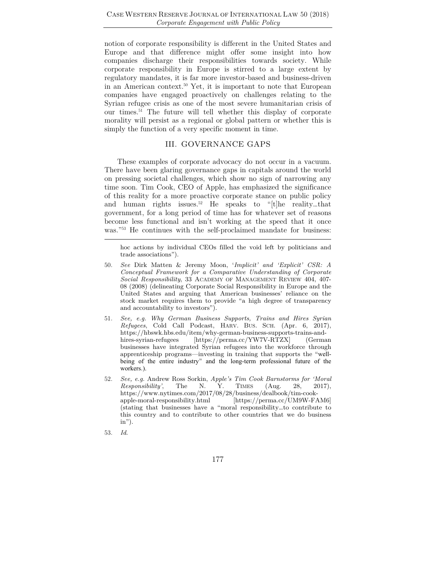notion of corporate responsibility is different in the United States and Europe and that difference might offer some insight into how companies discharge their responsibilities towards society. While corporate responsibility in Europe is stirred to a large extent by regulatory mandates, it is far more investor-based and business-driven in an American context.50 Yet, it is important to note that European companies have engaged proactively on challenges relating to the Syrian refugee crisis as one of the most severe humanitarian crisis of our times.51 The future will tell whether this display of corporate morality will persist as a regional or global pattern or whether this is simply the function of a very specific moment in time.

#### III. GOVERNANCE GAPS

These examples of corporate advocacy do not occur in a vacuum. There have been glaring governance gaps in capitals around the world on pressing societal challenges, which show no sign of narrowing any time soon. Tim Cook, CEO of Apple, has emphasized the significance of this reality for a more proactive corporate stance on public policy and human rights issues.<sup>52</sup> He speaks to " $[t]$ he reality...that government, for a long period of time has for whatever set of reasons become less functional and isn't working at the speed that it once was."<sup>53</sup> He continues with the self-proclaimed mandate for business:

hoc actions by individual CEOs filled the void left by politicians and trade associations").

- 50*. See* Dirk Matten & Jeremy Moon, '*Implicit' and 'Explicit' CSR: A Conceptual Framework for a Comparative Understanding of Corporate Social Responsibility*, 33 ACADEMY OF MANAGEMENT REVIEW 404, 407- 08 (2008) (delineating Corporate Social Responsibility in Europe and the United States and arguing that American businesses' reliance on the stock market requires them to provide "a high degree of transparency and accountability to investors").
- 51*. See, e.g. Why German Business Supports, Trains and Hires Syrian Refugees*, Cold Call Podcast, HARV. BUS. SCH. (Apr. 6, 2017), https://hbswk.hbs.edu/item/why-german-business-supports-trains-andhires-syrian-refugees [https://perma.cc/YW7V-RTZX] (German businesses have integrated Syrian refugees into the workforce through apprenticeship programs—investing in training that supports the "wellbeing of the entire industry" and the long-term professional future of the workers.).
- 52*. See, e.g.* Andrew Ross Sorkin, *Apple's Tim Cook Barnstorms for 'Moral Responsibility'*, The N. Y. TIMES (Aug. 28, 2017), https://www.nytimes.com/2017/08/28/business/dealbook/tim-cookapple-moral-responsibility.html [https://perma.cc/UM9W-FAM6] (stating that businesses have a "moral responsibility…to contribute to this country and to contribute to other countries that we do business in").
- 53*. Id*.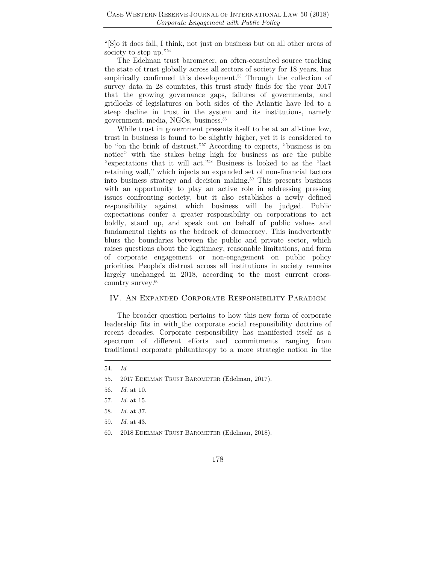"[S]o it does fall, I think, not just on business but on all other areas of society to step up."54

The Edelman trust barometer, an often-consulted source tracking the state of trust globally across all sectors of society for 18 years, has empirically confirmed this development.<sup>55</sup> Through the collection of survey data in 28 countries, this trust study finds for the year 2017 that the growing governance gaps, failures of governments, and gridlocks of legislatures on both sides of the Atlantic have led to a steep decline in trust in the system and its institutions, namely government, media, NGOs, business.56

While trust in government presents itself to be at an all-time low, trust in business is found to be slightly higher, yet it is considered to be "on the brink of distrust."57 According to experts, "business is on notice" with the stakes being high for business as are the public "expectations that it will act."58 Business is looked to as the "last retaining wall," which injects an expanded set of non-financial factors into business strategy and decision making.59 This presents business with an opportunity to play an active role in addressing pressing issues confronting society, but it also establishes a newly defined responsibility against which business will be judged. Public expectations confer a greater responsibility on corporations to act boldly, stand up, and speak out on behalf of public values and fundamental rights as the bedrock of democracy. This inadvertently blurs the boundaries between the public and private sector, which raises questions about the legitimacy, reasonable limitations, and form of corporate engagement or non-engagement on public policy priorities. People's distrust across all institutions in society remains largely unchanged in 2018, according to the most current crosscountry survey.<sup>60</sup>

#### IV. An Expanded Corporate Responsibility Paradigm

The broader question pertains to how this new form of corporate leadership fits in with the corporate social responsibility doctrine of recent decades. Corporate responsibility has manifested itself as a spectrum of different efforts and commitments ranging from traditional corporate philanthropy to a more strategic notion in the

60. 2018 EDELMAN TRUST BAROMETER (Edelman, 2018).

<sup>54</sup>*. Id*

<sup>55.</sup> 2017 EDELMAN TRUST BAROMETER (Edelman, 2017).

<sup>56</sup>*. Id*. at 10.

<sup>57</sup>*. Id*. at 15.

<sup>58</sup>*. Id*. at 37.

<sup>59</sup>*. Id*. at 43.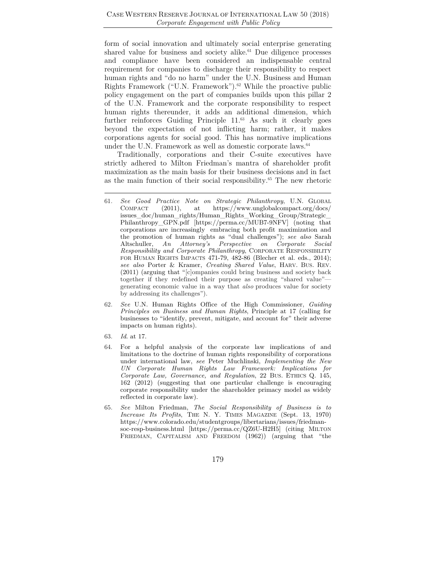form of social innovation and ultimately social enterprise generating shared value for business and society alike.<sup>61</sup> Due diligence processes and compliance have been considered an indispensable central requirement for companies to discharge their responsibility to respect human rights and "do no harm" under the U.N. Business and Human Rights Framework ("U.N. Framework").<sup>62</sup> While the proactive public policy engagement on the part of companies builds upon this pillar 2 of the U.N. Framework and the corporate responsibility to respect human rights thereunder, it adds an additional dimension, which further reinforces Guiding Principle 11.<sup>63</sup> As such it clearly goes beyond the expectation of not inflicting harm; rather, it makes corporations agents for social good. This has normative implications under the U.N. Framework as well as domestic corporate laws.<sup>64</sup>

Traditionally, corporations and their C-suite executives have strictly adhered to Milton Friedman's mantra of shareholder profit maximization as the main basis for their business decisions and in fact as the main function of their social responsibility.65 The new rhetoric

- 62*. See* U.N. Human Rights Office of the High Commissioner, *Guiding Principles on Business and Human Rights*, Principle at 17 (calling for businesses to "identify, prevent, mitigate, and account for" their adverse impacts on human rights).
- 63*. Id*. at 17.
- 64. For a helpful analysis of the corporate law implications of and limitations to the doctrine of human rights responsibility of corporations under international law, *see* Peter Muchlinski, *Implementing the New UN Corporate Human Rights Law Framework: Implications for Corporate Law, Governance, and Regulation*, 22 BUS. ETHICS Q. 145, 162 (2012) (suggesting that one particular challenge is encouraging corporate responsibility under the shareholder primacy model as widely reflected in corporate law).
- 65*. See* Milton Friedman, *The Social Responsibility of Business is to Increase Its Profits*, THE N. Y. TIMES MAGAZINE (Sept. 13, 1970) https://www.colorado.edu/studentgroups/libertarians/issues/friedmansoc-resp-business.html [https://perma.cc/QZ6U-H2H5] (citing MILTON FRIEDMAN, CAPITALISM AND FREEDOM (1962)) (arguing that "the

<sup>61</sup>*. See Good Practice Note on Strategic Philanthropy*, U.N. GLOBAL COMPACT (2011), at https://www.unglobalcompact.org/docs/ issues\_doc/human\_rights/Human\_Rights\_Working\_Group/Strategic\_ Philanthropy\_GPN.pdf [https://perma.cc/MUB7-9NFV] (noting that corporations are increasingly embracing both profit maximization and the promotion of human rights as "dual challenges"); *see also* Sarah Altschuller, *An Attorney's Perspective on Corporate Social Responsibility and Corporate Philanthropy*, CORPORATE RESPONSIBILITY FOR HUMAN RIGHTS IMPACTS 471-79, 482-86 (Blecher et al. eds., 2014); *see also* Porter & Kramer, *Creating Shared Value*, HARV. BUS. REV. (2011) (arguing that "[c]ompanies could bring business and society back together if they redefined their purpose as creating "shared value" generating economic value in a way that *also* produces value for society by addressing its challenges").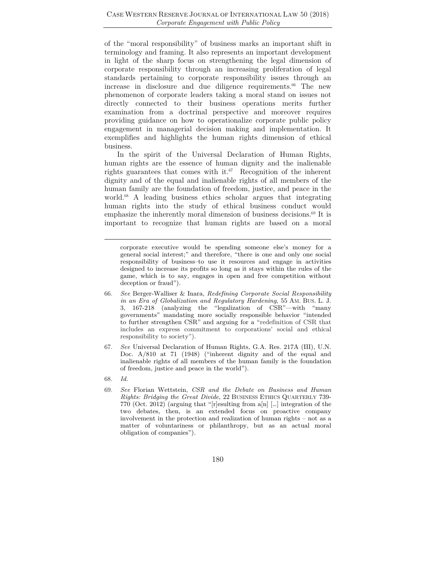of the "moral responsibility" of business marks an important shift in terminology and framing. It also represents an important development in light of the sharp focus on strengthening the legal dimension of corporate responsibility through an increasing proliferation of legal standards pertaining to corporate responsibility issues through an increase in disclosure and due diligence requirements.<sup>66</sup> The new phenomenon of corporate leaders taking a moral stand on issues not directly connected to their business operations merits further examination from a doctrinal perspective and moreover requires providing guidance on how to operationalize corporate public policy engagement in managerial decision making and implementation. It exemplifies and highlights the human rights dimension of ethical business.

In the spirit of the Universal Declaration of Human Rights, human rights are the essence of human dignity and the inalienable rights guarantees that comes with it. $67$  Recognition of the inherent dignity and of the equal and inalienable rights of all members of the human family are the foundation of freedom, justice, and peace in the world.<sup>68</sup> A leading business ethics scholar argues that integrating human rights into the study of ethical business conduct would emphasize the inherently moral dimension of business decisions.<sup>69</sup> It is important to recognize that human rights are based on a moral

corporate executive would be spending someone else's money for a general social interest;" and therefore, "there is one and only one social responsibility of business–to use it resources and engage in activities designed to increase its profits so long as it stays within the rules of the game, which is to say, engages in open and free competition without deception or fraud").

- 66*. See* Berger-Walliser & Inara, *Redefining Corporate Social Responsibility in an Era of Globalization and Regulatory Hardening*, 55 AM. BUS. L. J. 3, 167-218 (analyzing the "legalization of CSR"—with "many governments" mandating more socially responsible behavior "intended to further strengthen CSR" and arguing for a "redefinition of CSR that includes an express commitment to corporations' social and ethical responsibility to society").
- 67*. See* Universal Declaration of Human Rights, G.A. Res. 217A (III), U.N. Doc. A/810 at 71 (1948) ("inherent dignity and of the equal and inalienable rights of all members of the human family is the foundation of freedom, justice and peace in the world").
- 68*. Id.*
- 69*. See* Florian Wettstein, *CSR and the Debate on Business and Human Rights: Bridging the Great Divide*, 22 BUSINESS ETHICS QUARTERLY 739- 770 (Oct. 2012) (arguing that "[r]esulting from a[n] […] integration of the two debates, then, is an extended focus on proactive company involvement in the protection and realization of human rights – not as a matter of voluntariness or philanthropy, but as an actual moral obligation of companies").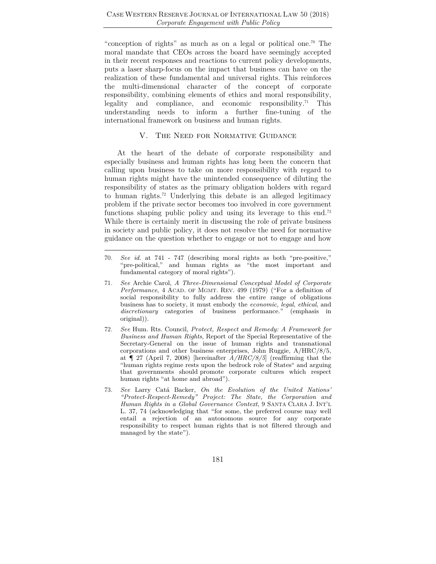"conception of rights" as much as on a legal or political one.70 The moral mandate that CEOs across the board have seemingly accepted in their recent responses and reactions to current policy developments, puts a laser sharp-focus on the impact that business can have on the realization of these fundamental and universal rights. This reinforces the multi-dimensional character of the concept of corporate responsibility, combining elements of ethics and moral responsibility, legality and compliance, and economic responsibility.<sup>71</sup> This understanding needs to inform a further fine-tuning of the international framework on business and human rights.

#### V. The Need for Normative Guidance

At the heart of the debate of corporate responsibility and especially business and human rights has long been the concern that calling upon business to take on more responsibility with regard to human rights might have the unintended consequence of diluting the responsibility of states as the primary obligation holders with regard to human rights.72 Underlying this debate is an alleged legitimacy problem if the private sector becomes too involved in core government functions shaping public policy and using its leverage to this end.<sup>73</sup> While there is certainly merit in discussing the role of private business in society and public policy, it does not resolve the need for normative guidance on the question whether to engage or not to engage and how

- 70*. See id.* at 741 747 (describing moral rights as both "pre-positive," "pre-political," and human rights as "the most important and fundamental category of moral rights").
- 71*. See* Archie Carol, *A Three-Dimensional Conceptual Model of Corporate Performance*, 4 ACAD. OF MGMT. REV. 499 (1979) ("For a definition of social responsibility to fully address the entire range of obligations business has to society, it must embody the *economic*, *legal*, *ethical*, and *discretionary* categories of business performance." (emphasis in original)).
- 72*. See* Hum. Rts. Council, *Protect, Respect and Remedy: A Framework for Business and Human Rights*, Report of the Special Representative of the Secretary-General on the issue of human rights and transnational corporations and other business enterprises, John Ruggie, A/HRC/8/5, at ¶ 27 (April 7, 2008) [hereinafter *A/HRC/8/5*] (reaffirming that the "human rights regime rests upon the bedrock role of States" and arguing that governments should promote corporate cultures which respect human rights "at home and abroad").
- 73*. See* Larry Catá Backer, *On the Evolution of the United Nations' "Protect-Respect-Remedy" Project: The State, the Corporation and Human Rights in a Global Governance Context*, 9 SANTA CLARA J. INT'L L. 37, 74 (acknowledging that "for some, the preferred course may well entail a rejection of an autonomous source for any corporate responsibility to respect human rights that is not filtered through and managed by the state").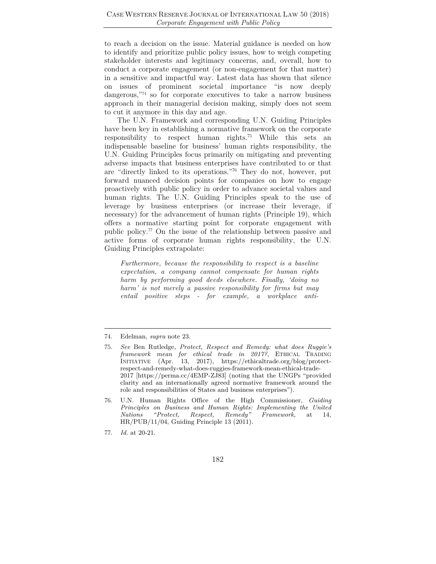to reach a decision on the issue. Material guidance is needed on how to identify and prioritize public policy issues, how to weigh competing stakeholder interests and legitimacy concerns, and, overall, how to conduct a corporate engagement (or non-engagement for that matter) in a sensitive and impactful way. Latest data has shown that silence on issues of prominent societal importance "is now deeply dangerous,<sup>774</sup> so for corporate executives to take a narrow business approach in their managerial decision making, simply does not seem to cut it anymore in this day and age.

The U.N. Framework and corresponding U.N. Guiding Principles have been key in establishing a normative framework on the corporate responsibility to respect human rights.75 While this sets an indispensable baseline for business' human rights responsibility, the U.N. Guiding Principles focus primarily on mitigating and preventing adverse impacts that business enterprises have contributed to or that are "directly linked to its operations."76 They do not, however, put forward nuanced decision points for companies on how to engage proactively with public policy in order to advance societal values and human rights. The U.N. Guiding Principles speak to the use of leverage by business enterprises (or increase their leverage, if necessary) for the advancement of human rights (Principle 19), which offers a normative starting point for corporate engagement with public policy.77 On the issue of the relationship between passive and active forms of corporate human rights responsibility, the U.N. Guiding Principles extrapolate:

*Furthermore, because the responsibility to respect is a baseline expectation, a company cannot compensate for human rights harm by performing good deeds elsewhere. Finally, 'doing no harm' is not merely a passive responsibility for firms but may entail positive steps - for example, a workplace anti-*

74. Edelman, *supra* note 23.

- 76. U.N. Human Rights Office of the High Commissioner, *Guiding Principles on Business and Human Rights: Implementing the United Nations "Protect, Respect, Remedy" Framework,* at 14, HR/PUB/11/04, Guiding Principle 13 (2011).
- 77. *Id.* at 20-21.

<sup>75</sup>*. See* Ben Rutledge*, Protect, Respect and Remedy: what does Ruggie's framework mean for ethical trade in 2017?*, ETHICAL TRADING INITIATIVE (Apr. 13, 2017), https://ethicaltrade.org/blog/protectrespect-and-remedy-what-does-ruggies-framework-mean-ethical-trade-2017 [https://perma.cc/4EMP-ZJ83] (noting that the UNGPs "provided clarity and an internationally agreed normative framework around the role and responsibilities of States and business enterprises").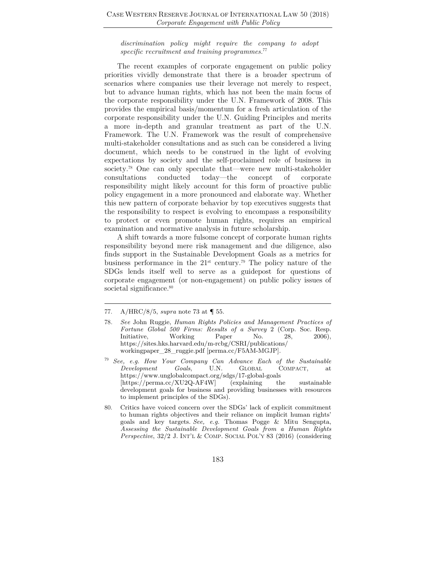*discrimination policy might require the company to adopt specific recruitment and training programmes.*<sup>77</sup>

The recent examples of corporate engagement on public policy priorities vividly demonstrate that there is a broader spectrum of scenarios where companies use their leverage not merely to respect, but to advance human rights, which has not been the main focus of the corporate responsibility under the U.N. Framework of 2008. This provides the empirical basis/momentum for a fresh articulation of the corporate responsibility under the U.N. Guiding Principles and merits a more in-depth and granular treatment as part of the U.N. Framework. The U.N. Framework was the result of comprehensive multi-stakeholder consultations and as such can be considered a living document, which needs to be construed in the light of evolving expectations by society and the self-proclaimed role of business in society.<sup>78</sup> One can only speculate that—were new multi-stakeholder consultations conducted today—the concept of corporate responsibility might likely account for this form of proactive public policy engagement in a more pronounced and elaborate way. Whether this new pattern of corporate behavior by top executives suggests that the responsibility to respect is evolving to encompass a responsibility to protect or even promote human rights, requires an empirical examination and normative analysis in future scholarship.

A shift towards a more fulsome concept of corporate human rights responsibility beyond mere risk management and due diligence, also finds support in the Sustainable Development Goals as a metrics for business performance in the  $21<sup>st</sup>$  century.<sup>79</sup> The policy nature of the SDGs lends itself well to serve as a guidepost for questions of corporate engagement (or non-engagement) on public policy issues of societal significance.<sup>80</sup>

<sup>77.</sup> A/HRC/8/5, *supra* note 73 at ¶ 55.

<sup>78</sup>*. See* John Ruggie, *Human Rights Policies and Management Practices of Fortune Global 500 Firms: Results of a Survey 2* (Corp. Soc. Resp. Initiative, Working Paper No. 28, 2006), Initiative, Working Paper No. 28, 2006), https://sites.hks.harvard.edu/m-rcbg/CSRI/publications/ workingpaper\_28\_ruggie.pdf [perma.cc/F5AM-MGJP].

<sup>79</sup> *See, e.g. How Your Company Can Advance Each of the Sustainable Development Goals*, U.N. GLOBAL COMPACT, at https://www.unglobalcompact.org/sdgs/17-global-goals [https://perma.cc/XU2Q-AF4W] (explaining the sustainable development goals for business and providing businesses with resources to implement principles of the SDGs).

<sup>80.</sup> Critics have voiced concern over the SDGs' lack of explicit commitment to human rights objectives and their reliance on implicit human rights' goals and key targets. *See, e.g.* Thomas Pogge & Mitu Sengupta, *Assessing the Sustainable Development Goals from a Human Rights Perspective*, 32/2 J. INT'L & COMP. SOCIAL POL'Y 83 (2016) (considering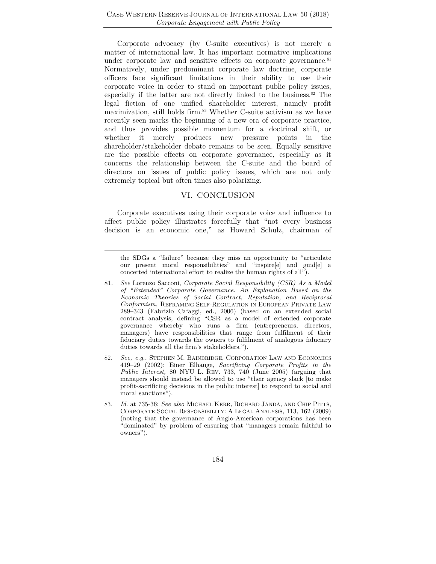Corporate advocacy (by C-suite executives) is not merely a matter of international law. It has important normative implications under corporate law and sensitive effects on corporate governance.<sup>81</sup> Normatively, under predominant corporate law doctrine, corporate officers face significant limitations in their ability to use their corporate voice in order to stand on important public policy issues, especially if the latter are not directly linked to the business.<sup>82</sup> The legal fiction of one unified shareholder interest, namely profit maximization, still holds firm.<sup>83</sup> Whether C-suite activism as we have recently seen marks the beginning of a new era of corporate practice, and thus provides possible momentum for a doctrinal shift, or whether it merely produces new pressure points in the shareholder/stakeholder debate remains to be seen. Equally sensitive are the possible effects on corporate governance, especially as it concerns the relationship between the C-suite and the board of directors on issues of public policy issues, which are not only extremely topical but often times also polarizing.

#### VI. CONCLUSION

Corporate executives using their corporate voice and influence to affect public policy illustrates forcefully that "not every business decision is an economic one," as Howard Schulz, chairman of

the SDGs a "failure" because they miss an opportunity to "articulate our present moral responsibilities" and "inspire[e] and guid[e] a concerted international effort to realize the human rights of all").

- 81*. See* Lorenzo Sacconi, *Corporate Social Responsibility (CSR) As a Model of "Extended" Corporate Governance. An Explanation Based on the Economic Theories of Social Contract, Reputation, and Reciprocal Conformism,* REFRAMING SELF-REGULATION IN EUROPEAN PRIVATE LAW 289–343 (Fabrizio Cafaggi, ed., 2006) (based on an extended social contract analysis, defining "CSR as a model of extended corporate governance whereby who runs a firm (entrepreneurs, directors, managers) have responsibilities that range from fulfilment of their fiduciary duties towards the owners to fulfilment of analogous fiduciary duties towards all the firm's stakeholders.").
- 82*. See, e.g.*, STEPHEN M. BAINBRIDGE, CORPORATION LAW AND ECONOMICS 419–29 (2002); Einer Elhauge, *Sacrificing Corporate Profits in the Public Interest,* 80 NYU L. REV. 733, 740 (June 2005) (arguing that managers should instead be allowed to use "their agency slack [to make profit-sacrificing decisions in the public interest] to respond to social and moral sanctions").
- 83*. Id*. at 735-36; *See also* MICHAEL KERR, RICHARD JANDA, AND CHIP PITTS, CORPORATE SOCIAL RESPONSIBILITY: A LEGAL ANALYSIS, 113, 162 (2009) (noting that the governance of Anglo-American corporations has been "dominated" by problem of ensuring that "managers remain faithful to owners").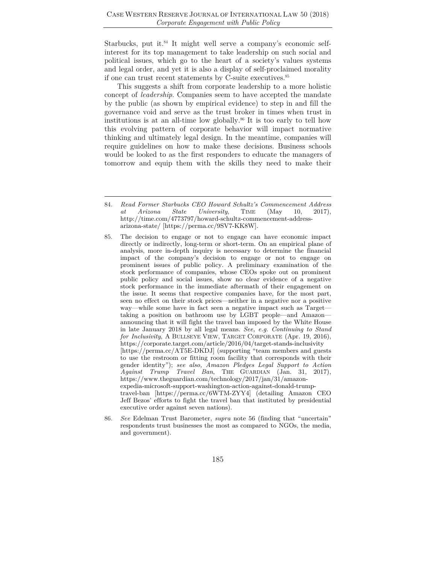Starbucks, put it.<sup>84</sup> It might well serve a company's economic selfinterest for its top management to take leadership on such social and political issues, which go to the heart of a society's values systems and legal order, and yet it is also a display of self-proclaimed morality if one can trust recent statements by C-suite executives.<sup>85</sup>

This suggests a shift from corporate leadership to a more holistic concept of *leadership*. Companies seem to have accepted the mandate by the public (as shown by empirical evidence) to step in and fill the governance void and serve as the trust broker in times when trust in institutions is at an all-time low globally.86 It is too early to tell how this evolving pattern of corporate behavior will impact normative thinking and ultimately legal design. In the meantime, companies will require guidelines on how to make these decisions. Business schools would be looked to as the first responders to educate the managers of tomorrow and equip them with the skills they need to make their

<sup>84</sup>*. Read Former Starbucks CEO Howard Schultz's Commencement Address at Arizona State University*, TIME (May 10, 2017), http://time.com/4773797/howard-schultz-commencement-addressarizona-state/ [https://perma.cc/9SV7-KK8W].

<sup>85.</sup> The decision to engage or not to engage can have economic impact directly or indirectly, long-term or short-term. On an empirical plane of analysis, more in-depth inquiry is necessary to determine the financial impact of the company's decision to engage or not to engage on prominent issues of public policy. A preliminary examination of the stock performance of companies, whose CEOs spoke out on prominent public policy and social issues, show no clear evidence of a negative stock performance in the immediate aftermath of their engagement on the issue. It seems that respective companies have, for the most part, seen no effect on their stock prices—neither in a negative nor a positive way—while some have in fact seen a negative impact such as Target taking a position on bathroom use by LGBT people—and Amazon announcing that it will fight the travel ban imposed by the White House in late January 2018 by all legal means. *See, e.g. Continuing to Stand for Inclusivity*, A BULLSEYE VIEW, TARGET CORPORATE (Apr. 19, 2016), https://corporate.target.com/article/2016/04/target-stands-inclusivity [https://perma.cc/AT5E-DKDJ] (supporting "team members and guests to use the restroom or fitting room facility that corresponds with their gender identity"); *see also, Amazon Pledges Legal Support to Action Against Trump Travel Ban*, THE GUARDIAN (Jan. 31, 2017), https://www.theguardian.com/technology/2017/jan/31/amazonexpedia-microsoft-support-washington-action-against-donald-trumptravel-ban [https://perma.cc/6WTM-ZYY4] (detailing Amazon CEO Jeff Bezos' efforts to fight the travel ban that instituted by presidential executive order against seven nations).

<sup>86</sup>*. See* Edelman Trust Barometer, *supra* note 56 (finding that "uncertain" respondents trust businesses the most as compared to NGOs, the media, and government).